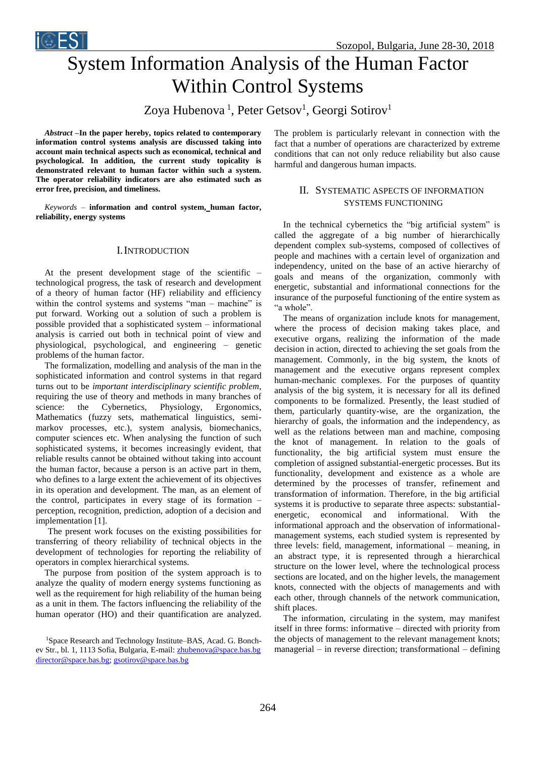Sozopol, Bulgaria, June 28-30, 2018

# System Information Analysis of the Human Factor Within Control Systems

Zoya Hubenova<sup>1</sup>, Peter Getsov<sup>1</sup>, Georgi Sotirov<sup>1</sup>

*Abstract –***In the paper hereby, topics related to contemporary information control systems analysis are discussed taking into account main technical aspects such as economical, technical and psychological. In addition, the current study topicality is demonstrated relevant to human factor within such a system. The operator reliability indicators are also estimated such as error free, precision, and timeliness.**

*Keywords –* **information and control system, human factor, reliability, energy systems**

### I.INTRODUCTION

At the present development stage of the scientific – technological progress, the task of research and development of a theory of human factor (HF) reliability and efficiency within the control systems and systems "man – machine" is put forward. Working out a solution of such a problem is possible provided that a sophisticated system – informational analysis is carried out both in technical point of view and physiological, psychological, and engineering – genetic problems of the human factor.

The formalization, modelling and analysis of the man in the sophisticated information and control systems in that regard turns out to be *important interdisciplinary scientific problem*, requiring the use of theory and methods in many branches of science: the Cybernetics, Physiology, Ergonomics, Mathematics (fuzzy sets, mathematical linguistics, semimarkov processes, etc.), system analysis, biomechanics, computer sciences etc. When analysing the function of such sophisticated systems, it becomes increasingly evident, that reliable results cannot be obtained without taking into account the human factor, because a person is an active part in them, who defines to a large extent the achievement of its objectives in its operation and development. The man, as an element of the control, participates in every stage of its formation – perception, recognition, prediction, adoption of a decision and implementation [1].

The present work focuses on the existing possibilities for transferring of theory reliability of technical objects in the development of technologies for reporting the reliability of operators in complex hierarchical systems.

The purpose from position of the system approach is to analyze the quality of modern energy systems functioning as well as the requirement for high reliability of the human being as a unit in them. The factors influencing the reliability of the human operator (HO) and their quantification are analyzed. The problem is particularly relevant in connection with the fact that a number of operations are characterized by extreme conditions that can not only reduce reliability but also cause harmful and dangerous human impacts.

# II. SYSTEMATIC ASPECTS OF INFORMATION SYSTEMS FUNCTIONING

In the technical cybernetics the "big artificial system" is called the aggregate of a big number of hierarchically dependent complex sub-systems, composed of collectives of people and machines with a certain level of organization and independency, united on the base of an active hierarchy of goals and means of the organization, commonly with energetic, substantial and informational connections for the insurance of the purposeful functioning of the entire system as "a whole".

The means of organization include knots for management, where the process of decision making takes place, and executive organs, realizing the information of the made decision in action, directed to achieving the set goals from the management. Commonly, in the big system, the knots of management and the executive organs represent complex human-mechanic complexes. For the purposes of quantity analysis of the big system, it is necessary for all its defined components to be formalized. Presently, the least studied of them, particularly quantity-wise, are the organization, the hierarchy of goals, the information and the independency, as well as the relations between man and machine, composing the knot of management. In relation to the goals of functionality, the big artificial system must ensure the completion of assigned substantial-energetic processes. But its functionality, development and existence as a whole are determined by the processes of transfer, refinement and transformation of information. Therefore, in the big artificial systems it is productive to separate three aspects: substantialenergetic, economical and informational. With the informational approach and the observation of informationalmanagement systems, each studied system is represented by three levels: field, management, informational – meaning, in an abstract type, it is represented through a hierarchical structure on the lower level, where the technological process sections are located, and on the higher levels, the management knots, connected with the objects of managements and with each other, through channels of the network communication, shift places.

The information, circulating in the system, may manifest itself in three forms: informative – directed with priority from the objects of management to the relevant management knots; managerial – in reverse direction; transformational – defining

<sup>1</sup>Space Research and Technology Institute–BAS, Acad. G. Bonchev Str., bl. 1, 1113 Sofia, Bulgaria, E-mail: [zhubenova@space.bas.bg](mailto:zhubenova@space.bas.bg)  [director@space.bas.bg;](mailto:director@space.bas.bg) [gsotirov@space.bas.bg](mailto:gsotirov@space.bas.bg)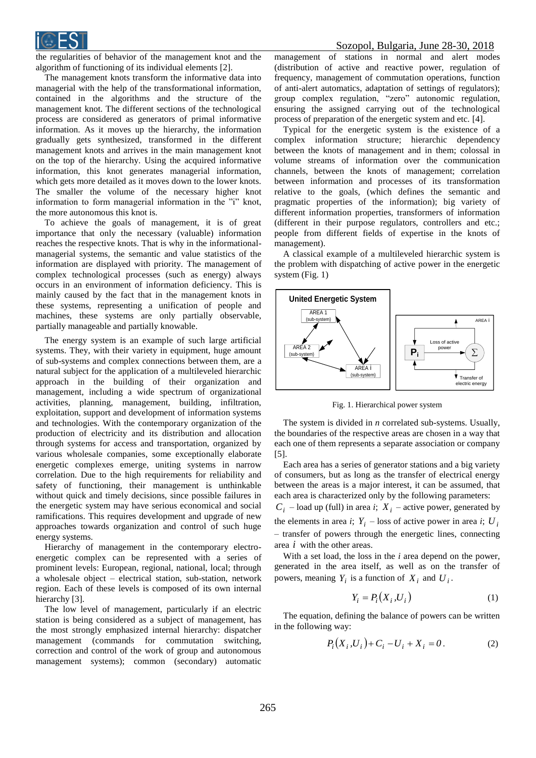

the regularities of behavior of the management knot and the algorithm of functioning of its individual elements [2].

The management knots transform the informative data into managerial with the help of the transformational information, contained in the algorithms and the structure of the management knot. The different sections of the technological process are considered as generators of primal informative information. As it moves up the hierarchy, the information gradually gets synthesized, transformed in the different management knots and arrives in the main management knot on the top of the hierarchy. Using the acquired informative information, this knot generates managerial information, which gets more detailed as it moves down to the lower knots. The smaller the volume of the necessary higher knot information to form managerial information in the "i" knot, the more autonomous this knot is.

To achieve the goals of management, it is of great importance that only the necessary (valuable) information reaches the respective knots. That is why in the informationalmanagerial systems, the semantic and value statistics of the information are displayed with priority. The management of complex technological processes (such as energy) always occurs in an environment of information deficiency. This is mainly caused by the fact that in the management knots in these systems, representing a unification of people and machines, these systems are only partially observable, partially manageable and partially knowable.

The energy system is an example of such large artificial systems. They, with their variety in equipment, huge amount of sub-systems and complex connections between them, are a natural subject for the application of a multileveled hierarchic approach in the building of their organization and management, including a wide spectrum of organizational activities, planning, management, building, infiltration, exploitation, support and development of information systems and technologies. With the contemporary organization of the production of electricity and its distribution and allocation through systems for access and transportation, organized by various wholesale companies, some exceptionally elaborate energetic complexes emerge, uniting systems in narrow correlation. Due to the high requirements for reliability and safety of functioning, their management is unthinkable without quick and timely decisions, since possible failures in the energetic system may have serious economical and social ramifications. This requires development and upgrade of new approaches towards organization and control of such huge energy systems.

Hierarchy of management in the contemporary electroenergetic complex can be represented with a series of prominent levels: European, regional, national, local; through a wholesale object – electrical station, sub-station, network region. Each of these levels is composed of its own internal hierarchy [3].

The low level of management, particularly if an electric station is being considered as a subject of management, has the most strongly emphasized internal hierarchy: dispatcher management (commands for commutation switching, correction and control of the work of group and autonomous management systems); common (secondary) automatic

management of stations in normal and alert modes (distribution of active and reactive power, regulation of frequency, management of commutation operations, function of anti-alert automatics, adaptation of settings of regulators); group complex regulation, "zero" autonomic regulation, ensuring the assigned carrying out of the technological process of preparation of the energetic system and etc. [4].

Typical for the energetic system is the existence of a complex information structure; hierarchic dependency between the knots of management and in them; colossal in volume streams of information over the communication channels, between the knots of management; correlation between information and processes of its transformation relative to the goals, (which defines the semantic and pragmatic properties of the information); big variety of different information properties, transformers of information (different in their purpose regulators, controllers and etc.; people from different fields of expertise in the knots of management).

A classical example of a multileveled hierarchic system is the problem with dispatching of active power in the energetic system (Fig. 1)



Fig. 1. Hierarchical power system

The system is divided in *n* correlated sub-systems. Usually, the boundaries of the respective areas are chosen in a way that each one of them represents a separate association or company [5].

Each area has a series of generator stations and a big variety of consumers, but as long as the transfer of electrical energy between the areas is a major interest, it can be assumed, that each area is characterized only by the following parameters:

 $C_i$  – load up (full) in area *i*;  $X_i$  – active power, generated by the elements in area *i*;  $Y_i$  – loss of active power in area *i*;  $U_i$ – transfer of powers through the energetic lines, connecting area *i* with the other areas.

With a set load, the loss in the *i* area depend on the power, generated in the area itself, as well as on the transfer of powers, meaning  $Y_i$  is a function of  $X_i$  and  $U_i$ .

$$
Y_i = P_i(X_i, U_i) \tag{1}
$$

The equation, defining the balance of powers can be written in the following way:

$$
P_i(X_i, U_i) + C_i - U_i + X_i = 0.
$$
 (2)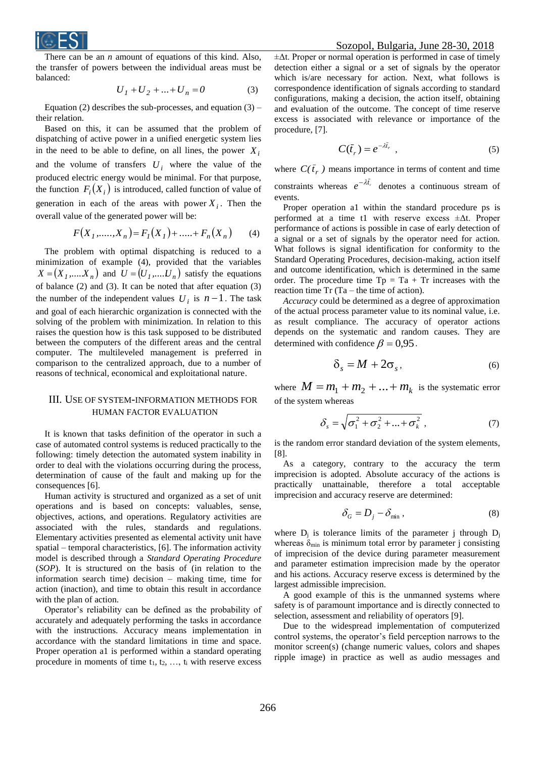

There can be an *n* amount of equations of this kind. Also, the transfer of powers between the individual areas must be balanced:

$$
U_1 + U_2 + \dots + U_n = 0 \tag{3}
$$

Equation (2) describes the sub-processes, and equation  $(3)$  – their relation.

Based on this, it can be assumed that the problem of dispatching of active power in a unified energetic system lies in the need to be able to define, on all lines, the power  $X_i$ and the volume of transfers  $U_i$  where the value of the produced electric energy would be minimal. For that purpose, the function  $F_i(X_i)$  is introduced, called function of value of generation in each of the areas with power  $X_i$ . Then the overall value of the generated power will be:

$$
F(X_1, \dots, X_n) = F_1(X_1) + \dots + F_n(X_n) \tag{4}
$$

The problem with optimal dispatching is reduced to a minimization of example (4), provided that the variables  $X = (X_1, \dots, X_n)$  and  $U = (U_1, \dots, U_n)$  satisfy the equations of balance (2) and (3). It can be noted that after equation (3) the number of the independent values  $U_i$  is  $n-1$ . The task and goal of each hierarchic organization is connected with the solving of the problem with minimization. In relation to this raises the question how is this task supposed to be distributed between the computers of the different areas and the central computer. The multileveled management is preferred in comparison to the centralized approach, due to a number of reasons of technical, economical and exploitational nature.

# III. USE OF SYSTEM-INFORMATION METHODS FOR HUMAN FACTOR EVALUATION

It is known that tasks definition of the operator in such a case of automated control systems is reduced practically to the following: timely detection the automated system inability in order to deal with the violations occurring during the process, determination of cause of the fault and making up for the consequences [6].

Human activity is structured and organized as a set of unit operations and is based on concepts: valuables, sense, objectives, actions, and operations. Regulatory activities are associated with the rules, standards and regulations. Elementary activities presented as elemental activity unit have spatial – temporal characteristics, [6]. The information activity model is described through a *Standard Operating Procedure* (*SOP*). It is structured on the basis of (in relation to the information search time) decision – making time, time for action (inaction), and time to obtain this result in accordance with the plan of action.

Operator's reliability can be defined as the probability of accurately and adequately performing the tasks in accordance with the instructions. Accuracy means implementation in accordance with the standard limitations in time and space. Proper operation a1 is performed within a standard operating procedure in moments of time  $t_1, t_2, \ldots, t_i$  with reserve excess

#### Sozopol, Bulgaria, June 28-30, 2018

 $\pm \Delta t$ . Proper or normal operation is performed in case of timely detection either a signal or a set of signals by the operator which is/are necessary for action. Next, what follows is correspondence identification of signals according to standard configurations, making a decision, the action itself, obtaining and evaluation of the outcome. The concept of time reserve excess is associated with relevance or importance of the procedure, [7].

$$
C(\bar{t}_r) = e^{-\lambda \bar{t}_r} \tag{5}
$$

where  $C(\bar{t}_r)$  means importance in terms of content and time constraints whereas  $e^{-\lambda t}$  denotes a continuous stream of events.

Proper operation a1 within the standard procedure ps is performed at a time t1 with reserve excess ±Δt. Proper performance of actions is possible in case of early detection of a signal or a set of signals by the operator need for action. What follows is signal identification for conformity to the Standard Operating Procedures, decision-making, action itself and outcome identification, which is determined in the same order. The procedure time  $Tp = Ta + Tr$  increases with the reaction time  $Tr (Ta - the time of action)$ .

*Accuracy* could be determined as a degree of approximation of the actual process parameter value to its nominal value, i.e. as result compliance. The accuracy of operator actions depends on the systematic and random causes. They are determined with confidence  $\beta = 0.95$ .

$$
\delta_s = M + 2\sigma_s, \tag{6}
$$

where  $M = m_1 + m_2 + ... + m_k$  is the systematic error of the system whereas

$$
\delta_s = \sqrt{\sigma_1^2 + \sigma_2^2 + \dots + \sigma_k^2} \tag{7}
$$

is the random error standard deviation of the system elements, [8].

As a category, contrary to the accuracy the term imprecision is adopted. Absolute accuracy of the actions is practically unattainable, therefore a total acceptable imprecision and accuracy reserve are determined:

$$
\delta_G = D_j - \delta_{\min} \,, \tag{8}
$$

where  $D_i$  is tolerance limits of the parameter j through  $D_i$ whereas  $\delta_{\min}$  is minimum total error by parameter j consisting of imprecision of the device during parameter measurement and parameter estimation imprecision made by the operator and his actions. Accuracy reserve excess is determined by the largest admissible imprecision.

A good example of this is the unmanned systems where safety is of paramount importance and is directly connected to selection, assessment and reliability of operators [9].

Due to the widespread implementation of computerized control systems, the operator's field perception narrows to the monitor screen(s) (change numeric values, colors and shapes ripple image) in practice as well as audio messages and